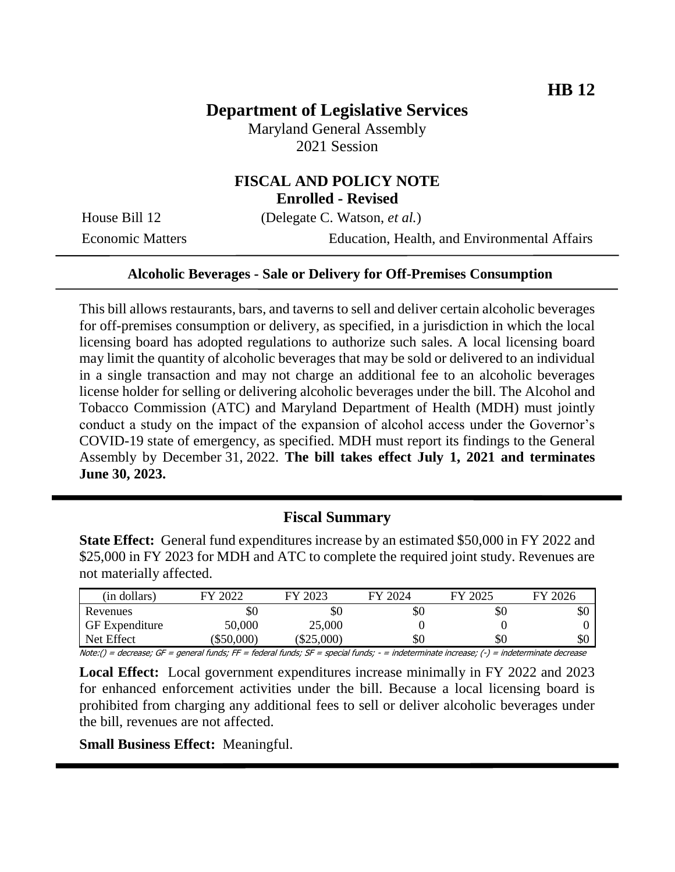# **Department of Legislative Services**

Maryland General Assembly 2021 Session

## **FISCAL AND POLICY NOTE Enrolled - Revised**

House Bill 12 (Delegate C. Watson, *et al.*)

Economic Matters Education, Health, and Environmental Affairs

#### **Alcoholic Beverages - Sale or Delivery for Off-Premises Consumption**

This bill allows restaurants, bars, and taverns to sell and deliver certain alcoholic beverages for off-premises consumption or delivery, as specified, in a jurisdiction in which the local licensing board has adopted regulations to authorize such sales. A local licensing board may limit the quantity of alcoholic beverages that may be sold or delivered to an individual in a single transaction and may not charge an additional fee to an alcoholic beverages license holder for selling or delivering alcoholic beverages under the bill. The Alcohol and Tobacco Commission (ATC) and Maryland Department of Health (MDH) must jointly conduct a study on the impact of the expansion of alcohol access under the Governor's COVID-19 state of emergency, as specified. MDH must report its findings to the General Assembly by December 31, 2022. **The bill takes effect July 1, 2021 and terminates June 30, 2023.** 

### **Fiscal Summary**

**State Effect:** General fund expenditures increase by an estimated \$50,000 in FY 2022 and \$25,000 in FY 2023 for MDH and ATC to complete the required joint study. Revenues are not materially affected.

| (in dollars)                                                                                                                                              | FY 2022  | FY 2023      | FY 2024 | FY 2025 | FY 2026 |
|-----------------------------------------------------------------------------------------------------------------------------------------------------------|----------|--------------|---------|---------|---------|
| Revenues                                                                                                                                                  | ЖU       | SO           | УU      | DЛ      | эU      |
| GF Expenditure                                                                                                                                            | 50,000   | 25,000       |         |         |         |
| Net Effect                                                                                                                                                | \$50,000 | $(\$25,000)$ | SO      | \$0     | \$0     |
| $N_{\text{data}}/l =$ decreases $CF =$ conoral fundor $FF =$ fodoral fundor $CF =$ crossial fundor<br>indeterminate increases () - indeterminate decrease |          |              |         |         |         |

Note:() = decrease; GF = general funds; FF = federal funds; SF = special funds; - = indeterminate increase; (-) = indeterminate decrease

**Local Effect:** Local government expenditures increase minimally in FY 2022 and 2023 for enhanced enforcement activities under the bill. Because a local licensing board is prohibited from charging any additional fees to sell or deliver alcoholic beverages under the bill, revenues are not affected.

**Small Business Effect:** Meaningful.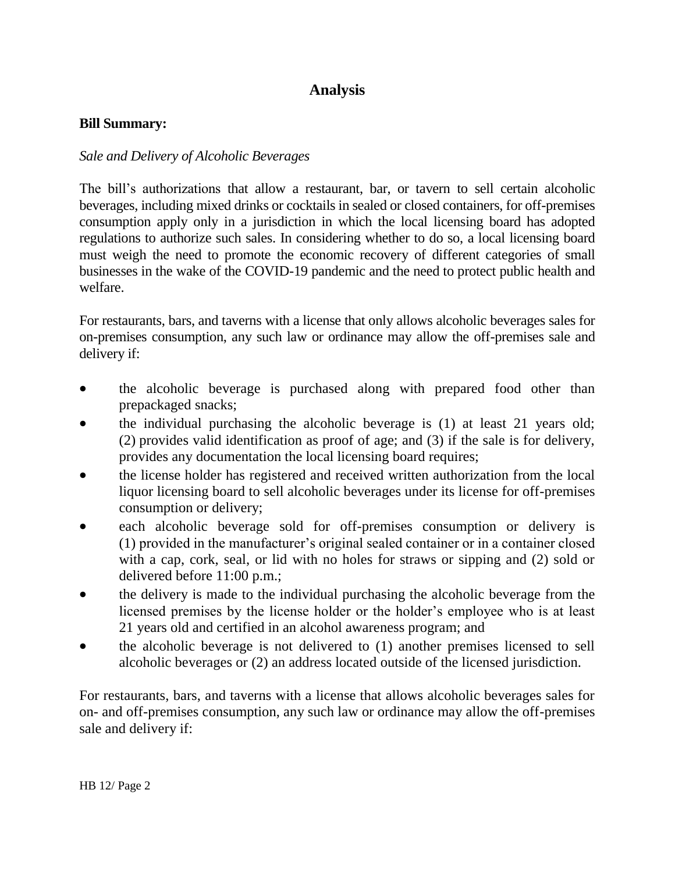# **Analysis**

### **Bill Summary:**

## *Sale and Delivery of Alcoholic Beverages*

The bill's authorizations that allow a restaurant, bar, or tavern to sell certain alcoholic beverages, including mixed drinks or cocktails in sealed or closed containers, for off-premises consumption apply only in a jurisdiction in which the local licensing board has adopted regulations to authorize such sales. In considering whether to do so, a local licensing board must weigh the need to promote the economic recovery of different categories of small businesses in the wake of the COVID-19 pandemic and the need to protect public health and welfare.

For restaurants, bars, and taverns with a license that only allows alcoholic beverages sales for on-premises consumption, any such law or ordinance may allow the off-premises sale and delivery if:

- the alcoholic beverage is purchased along with prepared food other than prepackaged snacks;
- the individual purchasing the alcoholic beverage is (1) at least 21 years old; (2) provides valid identification as proof of age; and (3) if the sale is for delivery, provides any documentation the local licensing board requires;
- the license holder has registered and received written authorization from the local liquor licensing board to sell alcoholic beverages under its license for off-premises consumption or delivery;
- each alcoholic beverage sold for off-premises consumption or delivery is (1) provided in the manufacturer's original sealed container or in a container closed with a cap, cork, seal, or lid with no holes for straws or sipping and (2) sold or delivered before 11:00 p.m.;
- the delivery is made to the individual purchasing the alcoholic beverage from the licensed premises by the license holder or the holder's employee who is at least 21 years old and certified in an alcohol awareness program; and
- the alcoholic beverage is not delivered to (1) another premises licensed to sell alcoholic beverages or (2) an address located outside of the licensed jurisdiction.

For restaurants, bars, and taverns with a license that allows alcoholic beverages sales for on- and off-premises consumption, any such law or ordinance may allow the off-premises sale and delivery if: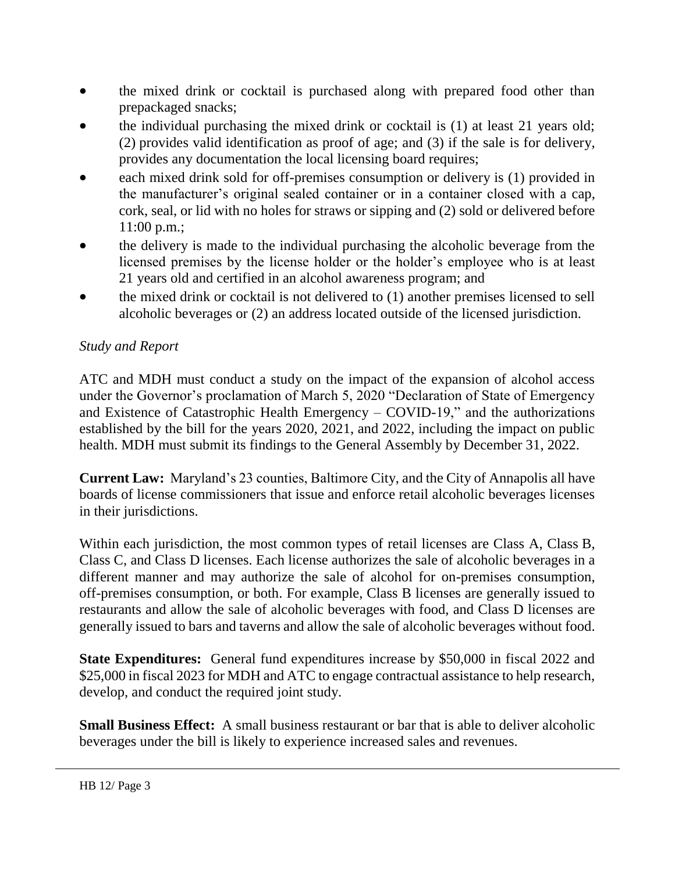- the mixed drink or cocktail is purchased along with prepared food other than prepackaged snacks;
- the individual purchasing the mixed drink or cocktail is (1) at least 21 years old; (2) provides valid identification as proof of age; and (3) if the sale is for delivery, provides any documentation the local licensing board requires;
- each mixed drink sold for off-premises consumption or delivery is (1) provided in the manufacturer's original sealed container or in a container closed with a cap, cork, seal, or lid with no holes for straws or sipping and (2) sold or delivered before 11:00 p.m.;
- the delivery is made to the individual purchasing the alcoholic beverage from the licensed premises by the license holder or the holder's employee who is at least 21 years old and certified in an alcohol awareness program; and
- the mixed drink or cocktail is not delivered to (1) another premises licensed to sell alcoholic beverages or (2) an address located outside of the licensed jurisdiction.

## *Study and Report*

ATC and MDH must conduct a study on the impact of the expansion of alcohol access under the Governor's proclamation of March 5, 2020 "Declaration of State of Emergency and Existence of Catastrophic Health Emergency – COVID-19," and the authorizations established by the bill for the years 2020, 2021, and 2022, including the impact on public health. MDH must submit its findings to the General Assembly by December 31, 2022.

**Current Law:** Maryland's 23 counties, Baltimore City, and the City of Annapolis all have boards of license commissioners that issue and enforce retail alcoholic beverages licenses in their jurisdictions.

Within each jurisdiction, the most common types of retail licenses are Class A, Class B, Class C, and Class D licenses. Each license authorizes the sale of alcoholic beverages in a different manner and may authorize the sale of alcohol for on-premises consumption, off-premises consumption, or both. For example, Class B licenses are generally issued to restaurants and allow the sale of alcoholic beverages with food, and Class D licenses are generally issued to bars and taverns and allow the sale of alcoholic beverages without food.

**State Expenditures:** General fund expenditures increase by \$50,000 in fiscal 2022 and \$25,000 in fiscal 2023 for MDH and ATC to engage contractual assistance to help research, develop, and conduct the required joint study.

**Small Business Effect:** A small business restaurant or bar that is able to deliver alcoholic beverages under the bill is likely to experience increased sales and revenues.